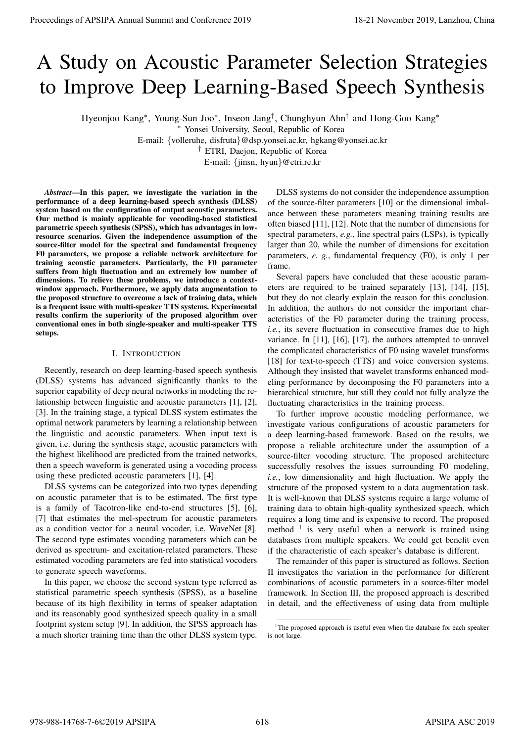# A Study on Acoustic Parameter Selection Strategies to Improve Deep Learning-Based Speech Synthesis

Hyeonjoo Kang<sup>∗</sup> , Young-Sun Joo<sup>∗</sup> , Inseon Jang† , Chunghyun Ahn† and Hong-Goo Kang<sup>∗</sup>

<sup>∗</sup> Yonsei University, Seoul, Republic of Korea

E-mail: {volleruhe, disfruta}@dsp.yonsei.ac.kr, hgkang@yonsei.ac.kr

† ETRI, Daejon, Republic of Korea

E-mail: {jinsn, hyun}@etri.re.kr

*Abstract*—In this paper, we investigate the variation in the performance of a deep learning-based speech synthesis (DLSS) system based on the configuration of output acoustic parameters. Our method is mainly applicable for vocoding-based statistical parametric speech synthesis (SPSS), which has advantages in lowresource scenarios. Given the independence assumption of the source-filter model for the spectral and fundamental frequency F0 parameters, we propose a reliable network architecture for training acoustic parameters. Particularly, the F0 parameter suffers from high fluctuation and an extremely low number of dimensions. To relieve these problems, we introduce a contextwindow approach. Furthermore, we apply data augmentation to the proposed structure to overcome a lack of training data, which is a frequent issue with multi-speaker TTS systems. Experimental results confirm the superiority of the proposed algorithm over conventional ones in both single-speaker and multi-speaker TTS setups. **Proceedings of APSIPA Annual Summit at China 978-988-1478**<br> **A Stuardy on Accounts of Conference 2019**<br> **A Stuardy on Accounts of Conference 2019**<br> **Example Register Annual Summit and Conference 2018**<br> **Example Register** 

## I. INTRODUCTION

Recently, research on deep learning-based speech synthesis (DLSS) systems has advanced significantly thanks to the superior capability of deep neural networks in modeling the relationship between linguistic and acoustic parameters [1], [2], [3]. In the training stage, a typical DLSS system estimates the optimal network parameters by learning a relationship between the linguistic and acoustic parameters. When input text is given, i.e. during the synthesis stage, acoustic parameters with the highest likelihood are predicted from the trained networks, then a speech waveform is generated using a vocoding process using these predicted acoustic parameters [1], [4].

DLSS systems can be categorized into two types depending on acoustic parameter that is to be estimated. The first type is a family of Tacotron-like end-to-end structures [5], [6], [7] that estimates the mel-spectrum for acoustic parameters as a condition vector for a neural vocoder, i.e. WaveNet [8]. The second type estimates vocoding parameters which can be derived as spectrum- and excitation-related parameters. These estimated vocoding parameters are fed into statistical vocoders to generate speech waveforms.

In this paper, we choose the second system type referred as statistical parametric speech synthesis (SPSS), as a baseline because of its high flexibility in terms of speaker adaptation and its reasonably good synthesized speech quality in a small footprint system setup [9]. In addition, the SPSS approach has a much shorter training time than the other DLSS system type.

DLSS systems do not consider the independence assumption of the source-filter parameters [10] or the dimensional imbalance between these parameters meaning training results are often biased [11], [12]. Note that the number of dimensions for spectral parameters, *e.g.*, line spectral pairs (LSPs), is typically larger than 20, while the number of dimensions for excitation parameters, *e. g.*, fundamental frequency (F0), is only 1 per frame.

Several papers have concluded that these acoustic parameters are required to be trained separately [13], [14], [15], but they do not clearly explain the reason for this conclusion. In addition, the authors do not consider the important characteristics of the F0 parameter during the training process, *i.e.*, its severe fluctuation in consecutive frames due to high variance. In [11], [16], [17], the authors attempted to unravel the complicated characteristics of F0 using wavelet transforms [18] for text-to-speech (TTS) and voice conversion systems. Although they insisted that wavelet transforms enhanced modeling performance by decomposing the F0 parameters into a hierarchical structure, but still they could not fully analyze the fluctuating characteristics in the training process.

To further improve acoustic modeling performance, we investigate various configurations of acoustic parameters for a deep learning-based framework. Based on the results, we propose a reliable architecture under the assumption of a source-filter vocoding structure. The proposed architecture successfully resolves the issues surrounding F0 modeling, *i.e.*, low dimensionality and high fluctuation. We apply the structure of the proposed system to a data augmentation task. It is well-known that DLSS systems require a large volume of training data to obtain high-quality synthesized speech, which requires a long time and is expensive to record. The proposed method  $1$  is very useful when a network is trained using databases from multiple speakers. We could get benefit even if the characteristic of each speaker's database is different.

The remainder of this paper is structured as follows. Section II investigates the variation in the performance for different combinations of acoustic parameters in a source-filter model framework. In Section III, the proposed approach is described in detail, and the effectiveness of using data from multiple

<sup>&</sup>lt;sup>1</sup>The proposed approach is useful even when the database for each speaker is not large.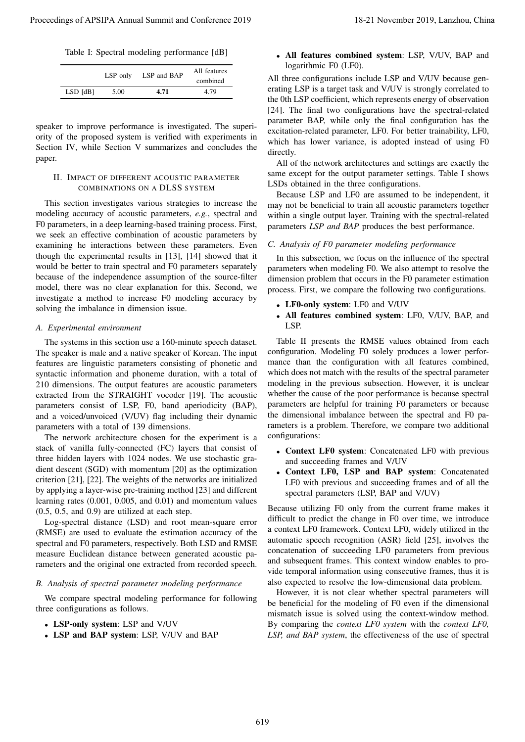Table I: Spectral modeling performance [dB]

|              | LSP only | LSP and BAP | All features<br>combined |
|--------------|----------|-------------|--------------------------|
| $LSD$ $[dB]$ | 5.00     | 4.71        | 4.79                     |

speaker to improve performance is investigated. The superiority of the proposed system is verified with experiments in Section IV, while Section V summarizes and concludes the paper.

## II. IMPACT OF DIFFERENT ACOUSTIC PARAMETER COMBINATIONS ON A DLSS SYSTEM

This section investigates various strategies to increase the modeling accuracy of acoustic parameters, *e.g.*, spectral and F0 parameters, in a deep learning-based training process. First, we seek an effective combination of acoustic parameters by examining he interactions between these parameters. Even though the experimental results in [13], [14] showed that it would be better to train spectral and F0 parameters separately because of the independence assumption of the source-filter model, there was no clear explanation for this. Second, we investigate a method to increase F0 modeling accuracy by solving the imbalance in dimension issue. Proceedings of APSIPA Annual Summit and Conference 2019 18-21 November 2019 18-21 November 2019, Lanzhou, China 619<br>
This is the state of the proceeding of APSIPA Annual SUM conference 2019, Lanzhou, Lanzhou, Lanzhou, Lan

#### *A. Experimental environment*

The systems in this section use a 160-minute speech dataset. The speaker is male and a native speaker of Korean. The input features are linguistic parameters consisting of phonetic and syntactic information and phoneme duration, with a total of 210 dimensions. The output features are acoustic parameters extracted from the STRAIGHT vocoder [19]. The acoustic parameters consist of LSP, F0, band aperiodicity (BAP), and a voiced/unvoiced (V/UV) flag including their dynamic parameters with a total of 139 dimensions.

The network architecture chosen for the experiment is a stack of vanilla fully-connected (FC) layers that consist of three hidden layers with 1024 nodes. We use stochastic gradient descent (SGD) with momentum [20] as the optimization criterion [21], [22]. The weights of the networks are initialized by applying a layer-wise pre-training method [23] and different learning rates (0.001, 0.005, and 0.01) and momentum values (0.5, 0.5, and 0.9) are utilized at each step.

Log-spectral distance (LSD) and root mean-square error (RMSE) are used to evaluate the estimation accuracy of the spectral and F0 parameters, respectively. Both LSD and RMSE measure Euclidean distance between generated acoustic parameters and the original one extracted from recorded speech.

#### *B. Analysis of spectral parameter modeling performance*

We compare spectral modeling performance for following three configurations as follows.

- LSP-only system: LSP and V/UV
- LSP and BAP system: LSP, V/UV and BAP

• All features combined system: LSP, V/UV, BAP and logarithmic F0 (LF0).

All three configurations include LSP and V/UV because generating LSP is a target task and V/UV is strongly correlated to the 0th LSP coefficient, which represents energy of observation [24]. The final two configurations have the spectral-related parameter BAP, while only the final configuration has the excitation-related parameter, LF0. For better trainability, LF0, which has lower variance, is adopted instead of using F0 directly.

All of the network architectures and settings are exactly the same except for the output parameter settings. Table I shows LSDs obtained in the three configurations.

Because LSP and LF0 are assumed to be independent, it may not be beneficial to train all acoustic parameters together within a single output layer. Training with the spectral-related parameters *LSP and BAP* produces the best performance.

### *C. Analysis of F0 parameter modeling performance*

In this subsection, we focus on the influence of the spectral parameters when modeling F0. We also attempt to resolve the dimension problem that occurs in the F0 parameter estimation process. First, we compare the following two configurations.

- LF0-only system: LF0 and V/UV
- All features combined system: LF0, V/UV, BAP, and LSP.

Table II presents the RMSE values obtained from each configuration. Modeling F0 solely produces a lower performance than the configuration with all features combined, which does not match with the results of the spectral parameter modeling in the previous subsection. However, it is unclear whether the cause of the poor performance is because spectral parameters are helpful for training F0 parameters or because the dimensional imbalance between the spectral and F0 parameters is a problem. Therefore, we compare two additional configurations:

- Context LF0 system: Concatenated LF0 with previous and succeeding frames and V/UV
- Context LF0, LSP and BAP system: Concatenated LF0 with previous and succeeding frames and of all the spectral parameters (LSP, BAP and V/UV)

Because utilizing F0 only from the current frame makes it difficult to predict the change in F0 over time, we introduce a context LF0 framework. Context LF0, widely utilized in the automatic speech recognition (ASR) field [25], involves the concatenation of succeeding LF0 parameters from previous and subsequent frames. This context window enables to provide temporal information using consecutive frames, thus it is also expected to resolve the low-dimensional data problem.

However, it is not clear whether spectral parameters will be beneficial for the modeling of F0 even if the dimensional mismatch issue is solved using the context-window method. By comparing the *context LF0 system* with the *context LF0, LSP, and BAP system*, the effectiveness of the use of spectral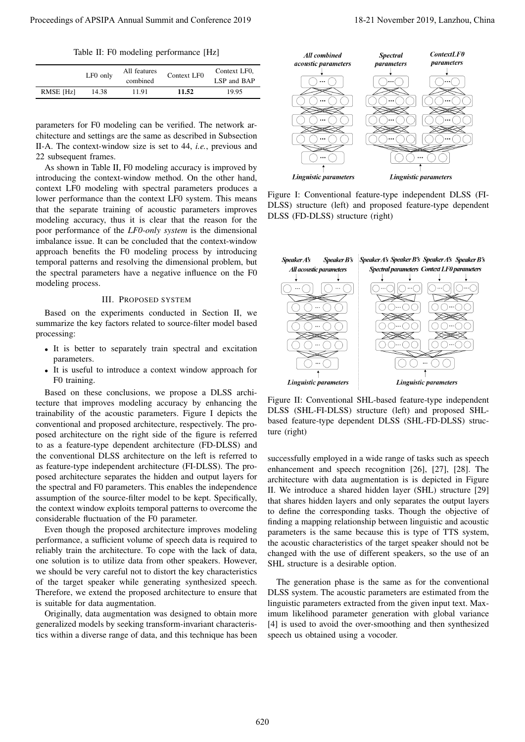Table II: F0 modeling performance [Hz]

|           | LF0 only | All features | Context LF0 | Context LF0. |
|-----------|----------|--------------|-------------|--------------|
|           |          | combined     |             | LSP and BAP  |
| RMSE [Hz] | 14.38    | 11.91        | 11.52       | 19.95        |

parameters for F0 modeling can be verified. The network architecture and settings are the same as described in Subsection II-A. The context-window size is set to 44, *i.e.*, previous and 22 subsequent frames.

As shown in Table II, F0 modeling accuracy is improved by introducing the context-window method. On the other hand, context LF0 modeling with spectral parameters produces a lower performance than the context LF0 system. This means that the separate training of acoustic parameters improves modeling accuracy, thus it is clear that the reason for the poor performance of the *LF0-only system* is the dimensional imbalance issue. It can be concluded that the context-window approach benefits the F0 modeling process by introducing temporal patterns and resolving the dimensional problem, but the spectral parameters have a negative influence on the F0 modeling process.

#### III. PROPOSED SYSTEM

Based on the experiments conducted in Section II, we summarize the key factors related to source-filter model based processing:

- It is better to separately train spectral and excitation parameters.
- It is useful to introduce a context window approach for F0 training.

Based on these conclusions, we propose a DLSS architecture that improves modeling accuracy by enhancing the trainability of the acoustic parameters. Figure I depicts the conventional and proposed architecture, respectively. The proposed architecture on the right side of the figure is referred to as a feature-type dependent architecture (FD-DLSS) and the conventional DLSS architecture on the left is referred to as feature-type independent architecture (FI-DLSS). The proposed architecture separates the hidden and output layers for the spectral and F0 parameters. This enables the independence assumption of the source-filter model to be kept. Specifically, the context window exploits temporal patterns to overcome the considerable fluctuation of the F0 parameter.

Even though the proposed architecture improves modeling performance, a sufficient volume of speech data is required to reliably train the architecture. To cope with the lack of data, one solution is to utilize data from other speakers. However, we should be very careful not to distort the key characteristics of the target speaker while generating synthesized speech. Therefore, we extend the proposed architecture to ensure that is suitable for data augmentation.

Originally, data augmentation was designed to obtain more generalized models by seeking transform-invariant characteristics within a diverse range of data, and this technique has been



Figure I: Conventional feature-type independent DLSS (FI-DLSS) structure (left) and proposed feature-type dependent DLSS (FD-DLSS) structure (right)



Figure II: Conventional SHL-based feature-type independent DLSS (SHL-FI-DLSS) structure (left) and proposed SHLbased feature-type dependent DLSS (SHL-FD-DLSS) structure (right)

successfully employed in a wide range of tasks such as speech enhancement and speech recognition [26], [27], [28]. The architecture with data augmentation is is depicted in Figure II. We introduce a shared hidden layer (SHL) structure [29] that shares hidden layers and only separates the output layers to define the corresponding tasks. Though the objective of finding a mapping relationship between linguistic and acoustic parameters is the same because this is type of TTS system, the acoustic characteristics of the target speaker should not be changed with the use of different speakers, so the use of an SHL structure is a desirable option.

The generation phase is the same as for the conventional DLSS system. The acoustic parameters are estimated from the linguistic parameters extracted from the given input text. Maximum likelihood parameter generation with global variance [4] is used to avoid the over-smoothing and then synthesized speech us obtained using a vocoder.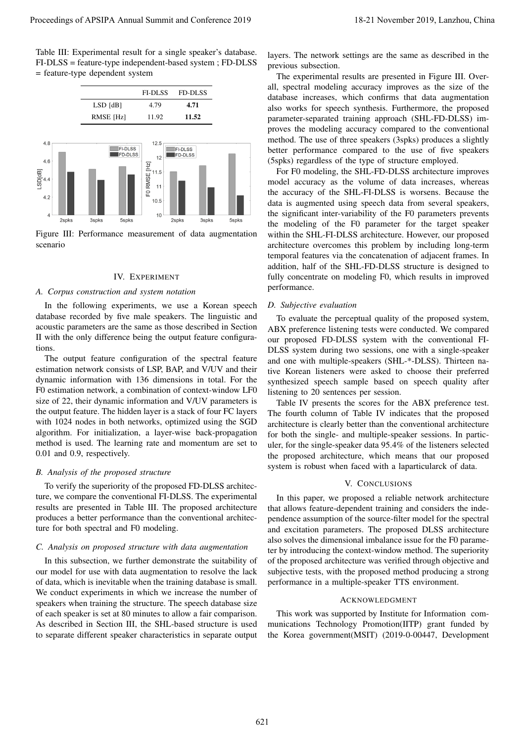Table III: Experimental result for a single speaker's database. FI-DLSS = feature-type independent-based system ; FD-DLSS = feature-type dependent system



Figure III: Performance measurement of data augmentation scenario

## IV. EXPERIMENT

## *A. Corpus construction and system notation*

In the following experiments, we use a Korean speech database recorded by five male speakers. The linguistic and acoustic parameters are the same as those described in Section II with the only difference being the output feature configurations.

The output feature configuration of the spectral feature estimation network consists of LSP, BAP, and V/UV and their dynamic information with 136 dimensions in total. For the F0 estimation network, a combination of context-window LF0 size of 22, their dynamic information and V/UV parameters is the output feature. The hidden layer is a stack of four FC layers with 1024 nodes in both networks, optimized using the SGD algorithm. For initialization, a layer-wise back-propagation method is used. The learning rate and momentum are set to 0.01 and 0.9, respectively.

## *B. Analysis of the proposed structure*

To verify the superiority of the proposed FD-DLSS architecture, we compare the conventional FI-DLSS. The experimental results are presented in Table III. The proposed architecture produces a better performance than the conventional architecture for both spectral and F0 modeling.

## *C. Analysis on proposed structure with data augmentation*

In this subsection, we further demonstrate the suitability of our model for use with data augmentation to resolve the lack of data, which is inevitable when the training database is small. We conduct experiments in which we increase the number of speakers when training the structure. The speech database size of each speaker is set at 80 minutes to allow a fair comparison. As described in Section III, the SHL-based structure is used to separate different speaker characteristics in separate output

layers. The network settings are the same as described in the previous subsection.

The experimental results are presented in Figure III. Overall, spectral modeling accuracy improves as the size of the database increases, which confirms that data augmentation also works for speech synthesis. Furthermore, the proposed parameter-separated training approach (SHL-FD-DLSS) improves the modeling accuracy compared to the conventional method. The use of three speakers (3spks) produces a slightly better performance compared to the use of five speakers (5spks) regardless of the type of structure employed.

For F0 modeling, the SHL-FD-DLSS architecture improves model accuracy as the volume of data increases, whereas the accuracy of the SHL-FI-DLSS is worsens. Because the data is augmented using speech data from several speakers, the significant inter-variability of the F0 parameters prevents the modeling of the F0 parameter for the target speaker within the SHL-FI-DLSS architecture. However, our proposed architecture overcomes this problem by including long-term temporal features via the concatenation of adjacent frames. In addition, half of the SHL-FD-DLSS structure is designed to fully concentrate on modeling F0, which results in improved performance.

#### *D. Subjective evaluation*

To evaluate the perceptual quality of the proposed system, ABX preference listening tests were conducted. We compared our proposed FD-DLSS system with the conventional FI-DLSS system during two sessions, one with a single-speaker and one with multiple-speakers (SHL-\*-DLSS). Thirteen native Korean listeners were asked to choose their preferred synthesized speech sample based on speech quality after listening to 20 sentences per session.

Table IV presents the scores for the ABX preference test. The fourth column of Table IV indicates that the proposed architecture is clearly better than the conventional architecture for both the single- and multiple-speaker sessions. In particuler, for the single-speaker data 95.4% of the listeners selected the proposed architecture, which means that our proposed system is robust when faced with a laparticularck of data.

#### V. CONCLUSIONS

In this paper, we proposed a reliable network architecture that allows feature-dependent training and considers the independence assumption of the source-filter model for the spectral and excitation parameters. The proposed DLSS architecture also solves the dimensional imbalance issue for the F0 parameter by introducing the context-window method. The superiority of the proposed architecture was verified through objective and subjective tests, with the proposed method producing a strong performance in a multiple-speaker TTS environment.

#### ACKNOWLEDGMENT

This work was supported by Institute for Information communications Technology Promotion(IITP) grant funded by the Korea government(MSIT) (2019-0-00447, Development